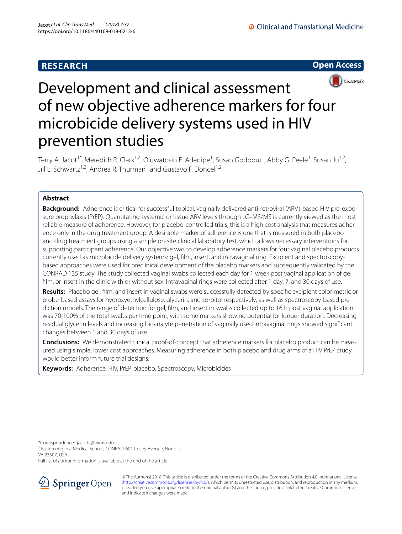# **RESEARCH**

**O** Clinical and Translational Medicine

**Open Access**



# Development and clinical assessment of new objective adherence markers for four microbicide delivery systems used in HIV prevention studies

Terry A. Jacot<sup>1\*</sup>, Meredith R. Clark<sup>1,2</sup>, Oluwatosin E. Adedipe<sup>1</sup>, Susan Godbout<sup>1</sup>, Abby G. Peele<sup>1</sup>, Susan Ju<sup>1,2</sup>, Jill L. Schwartz<sup>1,2</sup>, Andrea R. Thurman<sup>1</sup> and Gustavo F. Doncel<sup>1,2</sup>

# **Abstract**

**Background:** Adherence is critical for successful topical, vaginally delivered anti-retroviral (ARV)-based HIV pre-exposure prophylaxis (PrEP). Quantitating systemic or tissue ARV levels through LC–MS/MS is currently viewed as the most reliable measure of adherence. However, for placebo-controlled trials, this is a high cost analysis that measures adherence only in the drug treatment group. A desirable marker of adherence is one that is measured in both placebo and drug treatment groups using a simple on-site clinical laboratory test, which allows necessary interventions for supporting participant adherence. Our objective was to develop adherence markers for four vaginal placebo products currently used as microbicide delivery systems: gel, flm, insert, and intravaginal ring. Excipient and spectroscopybased approaches were used for preclinical development of the placebo markers and subsequently validated by the CONRAD 135 study. The study collected vaginal swabs collected each day for 1 week post vaginal application of gel, film, or insert in the clinic with or without sex. Intravaginal rings were collected after 1 day, 7, and 30 days of use.

**Results:** Placebo gel, flm, and insert in vaginal swabs were successfully detected by specifc excipient colorimetric or probe-based assays for hydroxyethylcellulose, glycerin, and sorbitol respectively, as well as spectroscopy-based prediction models. The range of detection for gel, flm, and insert in swabs collected up to 16 h post vaginal application was 70-100% of the total swabs per time point, with some markers showing potential for longer duration. Decreasing residual glycerin levels and increasing bioanalyte penetration of vaginally used intravaginal rings showed signifcant changes between 1 and 30 days of use.

**Conclusions:** We demonstrated clinical proof-of-concept that adherence markers for placebo product can be measured using simple, lower cost approaches. Measuring adherence in both placebo and drug arms of a HIV PrEP study would better inform future trial designs.

**Keywords:** Adherence, HIV, PrEP, placebo, Spectroscopy, Microbicides

\*Correspondence: jacotta@evms.edu

<sup>1</sup> Eastern Virginia Medical School, CONRAD, 601 Colley Avenue, Norfolk, VA 23507, USA

Full list of author information is available at the end of the article



© The Author(s) 2018. This article is distributed under the terms of the Creative Commons Attribution 4.0 International License [\(http://creativecommons.org/licenses/by/4.0/\)](http://creativecommons.org/licenses/by/4.0/), which permits unrestricted use, distribution, and reproduction in any medium, provided you give appropriate credit to the original author(s) and the source, provide a link to the Creative Commons license, and indicate if changes were made.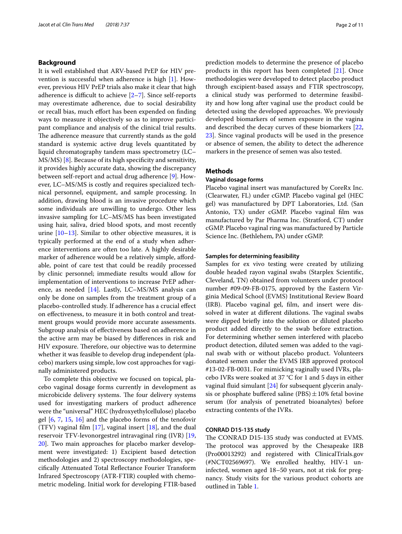# **Background**

It is well established that ARV-based PrEP for HIV prevention is successful when adherence is high [\[1](#page-9-0)]. However, previous HIV PrEP trials also make it clear that high adherence is difficult to achieve  $[2-7]$  $[2-7]$  $[2-7]$ . Since self-reports may overestimate adherence, due to social desirability or recall bias, much effort has been expended on finding ways to measure it objectively so as to improve participant compliance and analysis of the clinical trial results. The adherence measure that currently stands as the gold standard is systemic active drug levels quantitated by liquid chromatography tandem mass spectrometry (LC– MS/MS) [\[8](#page-9-3)]. Because of its high specifcity and sensitivity, it provides highly accurate data, showing the discrepancy between self-report and actual drug adherence [\[9](#page-9-4)]. However, LC–MS/MS is costly and requires specialized technical personnel, equipment, and sample processing. In addition, drawing blood is an invasive procedure which some individuals are unwilling to undergo. Other less invasive sampling for LC–MS/MS has been investigated using hair, saliva, dried blood spots, and most recently urine [\[10–](#page-9-5)[13\]](#page-9-6). Similar to other objective measures, it is typically performed at the end of a study when adherence interventions are often too late. A highly desirable marker of adherence would be a relatively simple, affordable, point of care test that could be readily processed by clinic personnel; immediate results would allow for implementation of interventions to increase PrEP adherence, as needed [[14](#page-9-7)]. Lastly, LC–MS/MS analysis can only be done on samples from the treatment group of a placebo-controlled study. If adherence has a crucial efect on efectiveness, to measure it in both control and treatment groups would provide more accurate assessments. Subgroup analysis of efectiveness based on adherence in the active arm may be biased by diferences in risk and HIV exposure. Therefore, our objective was to determine whether it was feasible to develop drug independent (placebo) markers using simple, low cost approaches for vaginally administered products.

To complete this objective we focused on topical, placebo vaginal dosage forms currently in development as microbicide delivery systems. The four delivery systems used for investigating markers of product adherence were the "universal" HEC (hydroxyethylcellulose) placebo gel [[6,](#page-9-8) [7](#page-9-2), [15,](#page-9-9) [16](#page-9-10)] and the placebo forms of the tenofovir (TFV) vaginal film  $[17]$ , vaginal insert  $[18]$  $[18]$ , and the dual reservoir TFV-levonorgestrel intravaginal ring (IVR) [\[19](#page-10-1), [20\]](#page-10-2). Two main approaches for placebo marker development were investigated: 1) Excipient based detection methodologies and 2) spectroscopy methodologies, specifcally Attenuated Total Refectance Fourier Transform Infrared Spectroscopy (ATR-FTIR) coupled with chemometric modeling. Initial work for developing FTIR-based prediction models to determine the presence of placebo products in this report has been completed [\[21](#page-10-3)]. Once methodologies were developed to detect placebo product through excipient-based assays and FTIR spectroscopy, a clinical study was performed to determine feasibility and how long after vaginal use the product could be detected using the developed approaches. We previously developed biomarkers of semen exposure in the vagina and described the decay curves of these biomarkers [[22](#page-10-4), [23\]](#page-10-5). Since vaginal products will be used in the presence or absence of semen, the ability to detect the adherence markers in the presence of semen was also tested.

# **Methods**

# **Vaginal dosage forms**

Placebo vaginal insert was manufactured by CoreRx Inc. (Clearwater, FL) under cGMP. Placebo vaginal gel (HEC gel) was manufactured by DPT Laboratories, Ltd. (San Antonio, TX) under cGMP. Placebo vaginal flm was manufactured by Par Pharma Inc. (Stratford, CT) under cGMP. Placebo vaginal ring was manufactured by Particle Science Inc. (Bethlehem, PA) under cGMP.

# **Samples for determining feasibility**

Samples for ex vivo testing were created by utilizing double headed rayon vaginal swabs (Starplex Scientifc, Cleveland, TN) obtained from volunteers under protocol number #09-09-FB-0175, approved by the Eastern Virginia Medical School (EVMS) Institutional Review Board (IRB). Placebo vaginal gel, flm, and insert were dissolved in water at different dilutions. The vaginal swabs were dipped briefy into the solution or diluted placebo product added directly to the swab before extraction. For determining whether semen interfered with placebo product detection, diluted semen was added to the vaginal swab with or without placebo product. Volunteers donated semen under the EVMS IRB approved protocol #13-02-FB-0031. For mimicking vaginally used IVRs, placebo IVRs were soaked at 37 °C for 1 and 5 days in either vaginal fuid simulant [\[24\]](#page-10-6) for subsequent glycerin analysis or phosphate buffered saline (PBS) $\pm$ 10% fetal bovine serum (for analysis of penetrated bioanalytes) before extracting contents of the IVRs.

## **CONRAD D15‑135 study**

The CONRAD D15-135 study was conducted at EVMS. The protocol was approved by the Chesapeake IRB (Pro00013292) and registered with ClinicalTrials.gov (#NCT02569697). We enrolled healthy, HIV-1 uninfected, women aged 18–50 years, not at risk for pregnancy. Study visits for the various product cohorts are outlined in Table [1](#page-2-0).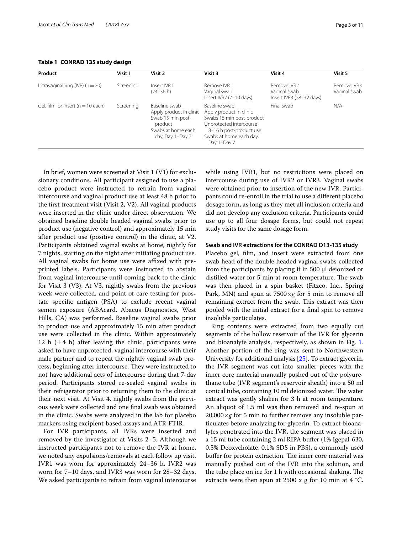<span id="page-2-0"></span>**Table 1 CONRAD 135 study design**

| Product                               | Visit 1   | Visit 2                                                                                                            | Visit 3                                                                                                                                                               | Visit 4                                                 | Visit 5                     |
|---------------------------------------|-----------|--------------------------------------------------------------------------------------------------------------------|-----------------------------------------------------------------------------------------------------------------------------------------------------------------------|---------------------------------------------------------|-----------------------------|
| Intravaginal ring (IVR) $(n = 20)$    | Screening | Insert IVR1<br>(24–36 h)                                                                                           | Remove IVR1<br>Vaginal swab<br>Insert IVR2 (7-10 days)                                                                                                                | Remove IVR2<br>Vaginal swab<br>Insert IVR3 (28-32 days) | Remove IVR3<br>Vaginal swab |
| Gel, film, or insert ( $n = 10$ each) | Screening | Baseline swab<br>Apply product in clinic<br>Swab 15 min post-<br>product<br>Swabs at home each<br>day, Day 1–Day 7 | Baseline swab<br>Apply product in clinic<br>Swabs 15 min post-product<br>Unprotected intercourse<br>8-16 h post-product use<br>Swabs at home each day,<br>Day 1-Day 7 | Final swab                                              | N/A                         |

In brief, women were screened at Visit 1 (V1) for exclusionary conditions. All participant assigned to use a placebo product were instructed to refrain from vaginal intercourse and vaginal product use at least 48 h prior to the frst treatment visit (Visit 2, V2). All vaginal products were inserted in the clinic under direct observation. We obtained baseline double headed vaginal swabs prior to product use (negative control) and approximately 15 min after product use (positive control) in the clinic, at V2. Participants obtained vaginal swabs at home, nightly for 7 nights, starting on the night after initiating product use. All vaginal swabs for home use were affixed with preprinted labels. Participants were instructed to abstain from vaginal intercourse until coming back to the clinic for Visit 3 (V3). At V3, nightly swabs from the previous week were collected, and point-of-care testing for prostate specifc antigen (PSA) to exclude recent vaginal semen exposure (ABAcard, Abacus Diagnostics, West Hills, CA) was performed. Baseline vaginal swabs prior to product use and approximately 15 min after product use were collected in the clinic. Within approximately 12 h  $(\pm 4$  h) after leaving the clinic, participants were asked to have unprotected, vaginal intercourse with their male partner and to repeat the nightly vaginal swab process, beginning after intercourse. They were instructed to not have additional acts of intercourse during that 7-day period. Participants stored re-sealed vaginal swabs in their refrigerator prior to returning them to the clinic at their next visit. At Visit 4, nightly swabs from the previous week were collected and one fnal swab was obtained in the clinic. Swabs were analyzed in the lab for placebo markers using excipient-based assays and ATR-FTIR.

For IVR participants, all IVRs were inserted and removed by the investigator at Visits 2–5. Although we instructed participants not to remove the IVR at home, we noted any expulsions/removals at each follow up visit. IVR1 was worn for approximately 24–36 h, IVR2 was worn for 7–10 days, and IVR3 was worn for 28–32 days. We asked participants to refrain from vaginal intercourse while using IVR1, but no restrictions were placed on intercourse during use of IVR2 or IVR3. Vaginal swabs were obtained prior to insertion of the new IVR. Participants could re-enroll in the trial to use a diferent placebo dosage form, as long as they met all inclusion criteria and did not develop any exclusion criteria. Participants could use up to all four dosage forms, but could not repeat study visits for the same dosage form.

#### **Swab and IVR extractions for the CONRAD D13‑135 study**

Placebo gel, flm, and insert were extracted from one swab head of the double headed vaginal swabs collected from the participants by placing it in 500 µl deionized or distilled water for 5 min at room temperature. The swab was then placed in a spin basket (Fitzco, Inc., Spring Park, MN) and spun at 7500×*g* for 5 min to remove all remaining extract from the swab. This extract was then pooled with the initial extract for a fnal spin to remove insoluble particulates.

Ring contents were extracted from two equally cut segments of the hollow reservoir of the IVR for glycerin and bioanalyte analysis, respectively, as shown in Fig. [1](#page-3-0). Another portion of the ring was sent to Northwestern University for additional analysis [\[25](#page-10-7)]. To extract glycerin, the IVR segment was cut into smaller pieces with the inner core material manually pushed out of the polyurethane tube (IVR segment's reservoir sheath) into a 50 ml conical tube, containing 10 ml deionized water. The water extract was gently shaken for 3 h at room temperature. An aliquot of 1.5 ml was then removed and re-spun at  $20,000\times g$  for 5 min to further remove any insoluble particulates before analyzing for glycerin. To extract bioanalytes penetrated into the IVR, the segment was placed in a 15 ml tube containing 2 ml RIPA bufer (1% Igepal-630, 0.5% Deoxycholate, 0.1% SDS in PBS), a commonly used buffer for protein extraction. The inner core material was manually pushed out of the IVR into the solution, and the tube place on ice for  $1$  h with occasional shaking. The extracts were then spun at 2500 x g for 10 min at 4  $^{\circ}$ C.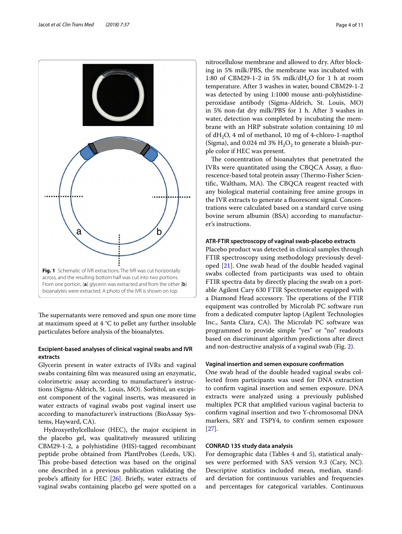

<span id="page-3-0"></span>The supernatants were removed and spun one more time at maximum speed at 4 °C to pellet any further insoluble particulates before analysis of the bioanalytes.

# **Excipient‑based analyses of clinical vaginal swabs and IVR extracts**

Glycerin present in water extracts of IVRs and vaginal swabs containing flm was measured using an enzymatic, colorimetric assay according to manufacturer's instructions (Sigma-Aldrich, St. Louis, MO). Sorbitol, an excipient component of the vaginal inserts, was measured in water extracts of vaginal swabs post vaginal insert use according to manufacturer's instructions (BioAssay Systems, Hayward, CA).

Hydroxyethylcellulose (HEC), the major excipient in the placebo gel, was qualitatively measured utilizing CBM29-1-2, a polyhistidine (HIS)-tagged recombinant peptide probe obtained from PlantProbes (Leeds, UK). This probe-based detection was based on the original one described in a previous publication validating the probe's affinity for HEC [\[26](#page-10-8)]. Briefly, water extracts of vaginal swabs containing placebo gel were spotted on a nitrocellulose membrane and allowed to dry. After blocking in 5% milk/PBS, the membrane was incubated with 1:80 of CBM29-1-2 in 5% milk/dH<sub>2</sub>O for 1 h at room temperature. After 3 washes in water, bound CBM29-1-2 was detected by using 1:1000 mouse anti-polyhistidineperoxidase antibody (Sigma-Aldrich, St. Louis, MO) in 5% non-fat dry milk/PBS for 1 h. After 3 washes in water, detection was completed by incubating the membrane with an HRP substrate solution containing 10 ml of  $dH_2O$ , 4 ml of methanol, 10 mg of 4-chloro-1-napthol (Sigma), and 0.024 ml 3%  $H_2O_2$  to generate a bluish-purple color if HEC was present.

The concentration of bioanalytes that penetrated the IVRs were quantitated using the CBQCA Assay, a fuorescence-based total protein assay (Thermo-Fisher Scientific, Waltham, MA). The CBQCA reagent reacted with any biological material containing free amine groups in the IVR extracts to generate a fuorescent signal. Concentrations were calculated based on a standard curve using bovine serum albumin (BSA) according to manufacturer's instructions.

# **ATR‑FTIR spectroscopy of vaginal swab‑placebo extracts**

Placebo product was detected in clinical samples through FTIR spectroscopy using methodology previously developed [[21](#page-10-3)]. One swab head of the double headed vaginal swabs collected from participants was used to obtain FTIR spectra data by directly placing the swab on a portable Agilent Cary 630 FTIR Spectrometer equipped with a Diamond Head accessory. The operations of the FTIR equipment was controlled by Microlab PC software run from a dedicated computer laptop (Agilent Technologies Inc., Santa Clara, CA). The Microlab PC software was programmed to provide simple "yes" or "no" readouts based on discriminant algorithm predictions after direct and non-destructive analysis of a vaginal swab (Fig. [2](#page-4-0)).

# **Vaginal insertion and semen exposure confrmation**

One swab head of the double headed vaginal swabs collected from participants was used for DNA extraction to confrm vaginal insertion and semen exposure. DNA extracts were analyzed using a previously published multiplex PCR that amplifed various vaginal bacteria to confrm vaginal insertion and two Y-chromosomal DNA markers, SRY and TSPY4, to confrm semen exposure [[27\]](#page-10-9).

# **CONRAD 135 study data analysis**

For demographic data (Tables [4](#page-6-0) and [5](#page-6-1)), statistical analyses were performed with SAS version 9.3 (Cary, NC). Descriptive statistics included mean, median, standard deviation for continuous variables and frequencies and percentages for categorical variables. Continuous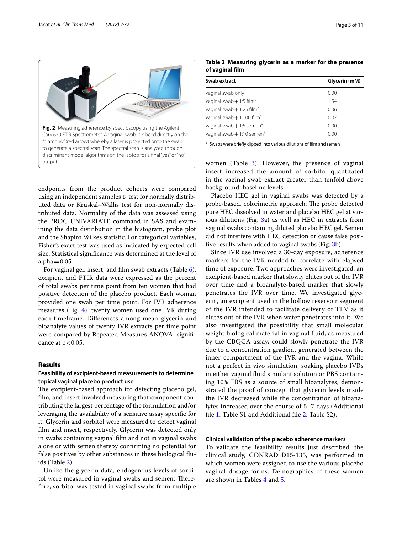

<span id="page-4-0"></span>endpoints from the product cohorts were compared using an independent samples t- test for normally distributed data or Kruskal–Wallis test for non-normally distributed data. Normality of the data was assessed using the PROC UNIVARIATE command in SAS and examining the data distribution in the histogram, probe plot and the Shapiro Wilkes statistic. For categorical variables, Fisher's exact test was used as indicated by expected cell size. Statistical signifcance was determined at the level of alpha $=0.05$ .

For vaginal gel, insert, and flm swab extracts (Table [6](#page-7-0)), excipient and FTIR data were expressed as the percent of total swabs per time point from ten women that had positive detection of the placebo product. Each woman provided one swab per time point. For IVR adherence measures (Fig. [4\)](#page-8-0), twenty women used one IVR during each timeframe. Diferences among mean glycerin and bioanalyte values of twenty IVR extracts per time point were compared by Repeated Measures ANOVA, signifcance at  $p < 0.05$ .

# **Results**

# **Feasibility of excipient‑based measurements to determine topical vaginal placebo product use**

The excipient-based approach for detecting placebo gel, flm, and insert involved measuring that component contributing the largest percentage of the formulation and/or leveraging the availability of a sensitive assay specifc for it. Glycerin and sorbitol were measured to detect vaginal flm and insert, respectively. Glycerin was detected only in swabs containing vaginal flm and not in vaginal swabs alone or with semen thereby confrming no potential for false positives by other substances in these biological fuids (Table [2\)](#page-4-1).

Unlike the glycerin data, endogenous levels of sorbitol were measured in vaginal swabs and semen. Therefore, sorbitol was tested in vaginal swabs from multiple

<span id="page-4-1"></span>

| Swab extract                            | Glycerin (mM) |
|-----------------------------------------|---------------|
| Vaginal swab only                       | 0.00          |
| Vaginal swab + 1:5 film <sup>a</sup>    | 1.54          |
| Vaginal swab $+1:25$ film <sup>a</sup>  | 0.36          |
| Vaginal swab $+1:100$ film <sup>a</sup> | 0.07          |
| Vaginal swab $+1:5$ semen <sup>a</sup>  | 0.00          |
| Vaginal swab $+1:10$ semen <sup>a</sup> | 0.00          |

a Swabs were briefly dipped into various dilutions of film and semen

women (Table [3\)](#page-5-0). However, the presence of vaginal insert increased the amount of sorbitol quantitated in the vaginal swab extract greater than tenfold above background, baseline levels.

Placebo HEC gel in vaginal swabs was detected by a probe-based, colorimetric approach. The probe detected pure HEC dissolved in water and placebo HEC gel at various dilutions (Fig. [3a](#page-5-1)) as well as HEC in extracts from vaginal swabs containing diluted placebo HEC gel. Semen did not interfere with HEC detection or cause false positive results when added to vaginal swabs (Fig. [3b](#page-5-1)).

Since IVR use involved a 30-day exposure, adherence markers for the IVR needed to correlate with elapsed time of exposure. Two approaches were investigated: an excipient-based marker that slowly elutes out of the IVR over time and a bioanalyte-based marker that slowly penetrates the IVR over time. We investigated glycerin, an excipient used in the hollow reservoir segment of the IVR intended to facilitate delivery of TFV as it elutes out of the IVR when water penetrates into it. We also investigated the possibility that small molecular weight biological material in vaginal fuid, as measured by the CBQCA assay, could slowly penetrate the IVR due to a concentration gradient generated between the inner compartment of the IVR and the vagina. While not a perfect in vivo simulation, soaking placebo IVRs in either vaginal fuid simulant solution or PBS containing 10% FBS as a source of small bioanalytes, demonstrated the proof of concept that glycerin levels inside the IVR decreased while the concentration of bioanalytes increased over the course of 5–7 days (Additional fle [1](#page-9-12): Table S1 and Additional fle [2:](#page-9-13) Table S2).

## **Clinical validation of the placebo adherence markers**

To validate the feasibility results just described, the clinical study, CONRAD D15-135, was performed in which women were assigned to use the various placebo vaginal dosage forms. Demographics of these women are shown in Tables [4](#page-6-0) and [5.](#page-6-1)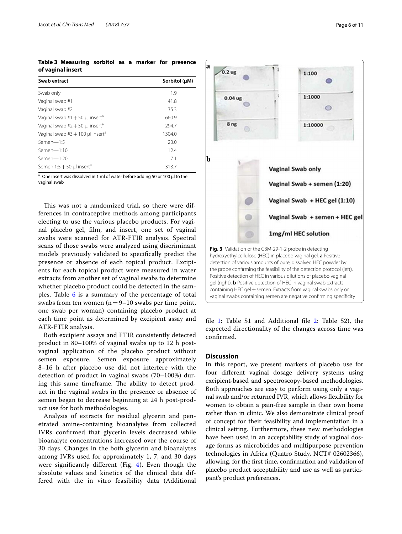<span id="page-5-0"></span>**Table 3 Measuring sorbitol as a marker for presence of vaginal insert**

| Swab extract                                   | Sorbitol (µM) |
|------------------------------------------------|---------------|
| Swab only                                      | 1.9           |
| Vaginal swab #1                                | 41.8          |
| Vaginal swab #2                                | 35.3          |
| Vaginal swab $#1 + 50$ µl insert <sup>a</sup>  | 660.9         |
| Vaginal swab $#2 + 50$ µl insert <sup>a</sup>  | 294.7         |
| Vaginal swab $#3 + 100$ µl insert <sup>a</sup> | 1304.0        |
| $Semen-1:5$                                    | 23.0          |
| $Semen-1:10$                                   | 12.4          |
| Semen $-1:20$                                  | 7.1           |
| Semen $1:5 + 50$ µl insert <sup>a</sup>        | 313.7         |

<sup>a</sup> One insert was dissolved in 1 ml of water before adding 50 or 100 µl to the vaginal swab

This was not a randomized trial, so there were differences in contraceptive methods among participants electing to use the various placebo products. For vaginal placebo gel, flm, and insert, one set of vaginal swabs were scanned for ATR-FTIR analysis. Spectral scans of those swabs were analyzed using discriminant models previously validated to specifcally predict the presence or absence of each topical product. Excipients for each topical product were measured in water extracts from another set of vaginal swabs to determine whether placebo product could be detected in the samples. Table [6](#page-7-0) is a summary of the percentage of total swabs from ten women  $(n=9-10)$  swabs per time point, one swab per woman) containing placebo product at each time point as determined by excipient assay and ATR-FTIR analysis.

Both excipient assays and FTIR consistently detected product in 80–100% of vaginal swabs up to 12 h postvaginal application of the placebo product without semen exposure. Semen exposure approximately 8–16 h after placebo use did not interfere with the detection of product in vaginal swabs (70–100%) during this same timeframe. The ability to detect product in the vaginal swabs in the presence or absence of semen began to decrease beginning at 24 h post-product use for both methodologies.

Analysis of extracts for residual glycerin and penetrated amine-containing bioanalytes from collected IVRs confrmed that glycerin levels decreased while bioanalyte concentrations increased over the course of 30 days. Changes in the both glycerin and bioanalytes among IVRs used for approximately 1, 7, and 30 days were signifcantly diferent (Fig. [4\)](#page-8-0). Even though the absolute values and kinetics of the clinical data differed with the in vitro feasibility data (Additional



<span id="page-5-1"></span>file [1](#page-9-12): Table S1 and Additional file [2:](#page-9-13) Table S2), the expected directionality of the changes across time was confrmed.

# **Discussion**

In this report, we present markers of placebo use for four diferent vaginal dosage delivery systems using excipient-based and spectroscopy-based methodologies. Both approaches are easy to perform using only a vaginal swab and/or returned IVR, which allows fexibility for women to obtain a pain-free sample in their own home rather than in clinic. We also demonstrate clinical proof of concept for their feasibility and implementation in a clinical setting. Furthermore, these new methodologies have been used in an acceptability study of vaginal dosage forms as microbicides and multipurpose prevention technologies in Africa (Quatro Study, NCT# 02602366), allowing, for the frst time, confrmation and validation of placebo product acceptability and use as well as participant's product preferences.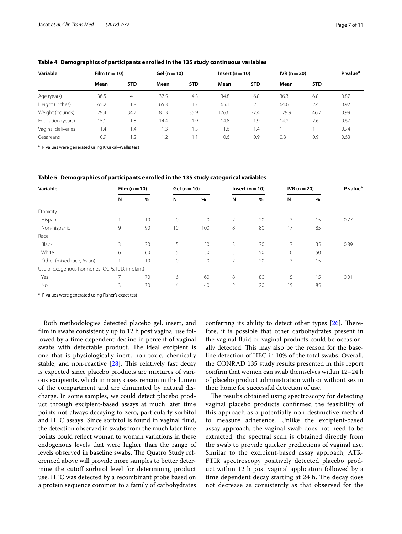<span id="page-6-0"></span>

| Table 4 Demographics of participants enrolled in the 135 study continuous variables |  |  |  |  |  |  |
|-------------------------------------------------------------------------------------|--|--|--|--|--|--|
|                                                                                     |  |  |  |  |  |  |

| Variable           | Film $(n=10)$ |            |       | Gel $(n = 10)$ |       | $Insert (n = 10)$ |       | $IVR(n=20)$ |      |
|--------------------|---------------|------------|-------|----------------|-------|-------------------|-------|-------------|------|
|                    | Mean          | <b>STD</b> | Mean  | <b>STD</b>     | Mean  | <b>STD</b>        | Mean  | <b>STD</b>  |      |
| Age (years)        | 36.5          | 4          | 37.5  | 4.3            | 34.8  | 6.8               | 36.3  | 6.8         | 0.87 |
| Height (inches)    | 65.2          | 1.8        | 65.3  | 1.7            | 65.1  |                   | 64.6  | 2.4         | 0.92 |
| Weight (pounds)    | 79.4          | 34.7       | 181.3 | 35.9           | 176.6 | 37.4              | 179.9 | 46.7        | 0.99 |
| Education (years)  | 15.1          | 1.8        | 14.4  | 1.9            | 14.8  | 1.9               | 14.2  | 2.6         | 0.67 |
| Vaginal deliveries | 1.4           | .4         | 1.3   | 1.3            | 1.6   | 1.4               |       |             | 0.74 |
| Cesareans          | 0.9           | $\cdot$ .2 | 1.2   | 1.1            | 0.6   | 0.9               | 0.8   | 0.9         | 0.63 |

<sup>a</sup> P values were generated using Kruskal–Wallis test

<span id="page-6-1"></span>

|  | Table 5 Demographics of participants enrolled in the 135 study categorical variables |  |  |  |  |
|--|--------------------------------------------------------------------------------------|--|--|--|--|
|--|--------------------------------------------------------------------------------------|--|--|--|--|

| Variable                                       | Film $(n=10)$ |      | Gel $(n = 10)$ |      | Insert ( $n = 10$ ) |    | $IVR(n = 20)$ |    | P value <sup>a</sup> |
|------------------------------------------------|---------------|------|----------------|------|---------------------|----|---------------|----|----------------------|
|                                                | N             | $\%$ | N              | $\%$ | N                   | %  | N             | %  |                      |
| Ethnicity                                      |               |      |                |      |                     |    |               |    |                      |
| Hispanic                                       |               | 10   | $\mathbf{0}$   | 0    | 2                   | 20 | 3             | 15 | 0.77                 |
| Non-hispanic                                   | 9             | 90   | 10             | 100  | 8                   | 80 | 17            | 85 |                      |
| Race                                           |               |      |                |      |                     |    |               |    |                      |
| Black                                          | 3             | 30   | 5              | 50   | 3                   | 30 | 7             | 35 | 0.89                 |
| White                                          | 6             | 60   | 5              | 50   | 5                   | 50 | 10            | 50 |                      |
| Other (mixed race, Asian)                      |               | 10   | $\mathbf{0}$   | 0    | 2                   | 20 | 3             | 15 |                      |
| Use of exogenous hormones (OCPs, IUD, implant) |               |      |                |      |                     |    |               |    |                      |
| Yes                                            |               | 70   | 6              | 60   | 8                   | 80 | 5             | 15 | 0.01                 |
| No                                             | 3             | 30   | $\overline{4}$ | 40   | 2                   | 20 | 15            | 85 |                      |

<sup>a</sup> P values were generated using Fisher's exact test

Both methodologies detected placebo gel, insert, and flm in swabs consistently up to 12 h post vaginal use followed by a time dependent decline in percent of vaginal swabs with detectable product. The ideal excipient is one that is physiologically inert, non-toxic, chemically stable, and non-reactive  $[28]$  $[28]$ . This relatively fast decay is expected since placebo products are mixtures of various excipients, which in many cases remain in the lumen of the compartment and are eliminated by natural discharge. In some samples, we could detect placebo product through excipient-based assays at much later time points not always decaying to zero, particularly sorbitol and HEC assays. Since sorbitol is found in vaginal fuid, the detection observed in swabs from the much later time points could refect woman to woman variations in these endogenous levels that were higher than the range of levels observed in baseline swabs. The Quatro Study referenced above will provide more samples to better determine the cutoff sorbitol level for determining product use. HEC was detected by a recombinant probe based on a protein sequence common to a family of carbohydrates conferring its ability to detect other types  $[26]$  $[26]$ . Therefore, it is possible that other carbohydrates present in the vaginal fuid or vaginal products could be occasionally detected. This may also be the reason for the baseline detection of HEC in 10% of the total swabs. Overall, the CONRAD 135 study results presented in this report confrm that women can swab themselves within 12–24 h of placebo product administration with or without sex in their home for successful detection of use.

The results obtained using spectroscopy for detecting vaginal placebo products confrmed the feasibility of this approach as a potentially non-destructive method to measure adherence. Unlike the excipient-based assay approach, the vaginal swab does not need to be extracted; the spectral scan is obtained directly from the swab to provide quicker predictions of vaginal use. Similar to the excipient-based assay approach, ATR-FTIR spectroscopy positively detected placebo product within 12 h post vaginal application followed by a time dependent decay starting at 24 h. The decay does not decrease as consistently as that observed for the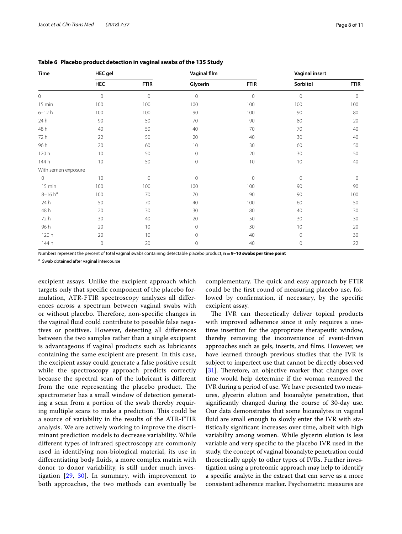| Time                | <b>HEC</b> gel |             | Vaginal film |              | <b>Vaginal insert</b> |              |
|---------------------|----------------|-------------|--------------|--------------|-----------------------|--------------|
|                     | HEC            | <b>FTIR</b> | Glycerin     | <b>FTIR</b>  | Sorbitol              | <b>FTIR</b>  |
| $\circ$             | $\mathbb O$    | $\mathbf 0$ | $\mathbf 0$  | $\mathbf{0}$ | $\circ$               | $\mathbf{0}$ |
| 15 min              | 100            | 100         | 100          | 100          | 100                   | 100          |
| $6 - 12h$           | 100            | 100         | 90           | 100          | 90                    | 80           |
| 24h                 | 90             | 50          | 70           | 90           | 80                    | 20           |
| 48 h                | 40             | 50          | 40           | 70           | 70                    | 40           |
| 72 h                | 22             | 50          | 20           | 40           | 30                    | 40           |
| 96 h                | 20             | 60          | 10           | 30           | 60                    | 50           |
| 120h                | 10             | 50          | $\mathbb O$  | 20           | 30                    | 50           |
| 144 h               | 10             | 50          | $\mathbf 0$  | 10           | 10                    | 40           |
| With semen exposure |                |             |              |              |                       |              |
| $\circ$             | 10             | $\mathbf 0$ | $\mathbf 0$  | $\mathbf 0$  | $\circ$               | $\mathbf{0}$ |
| 15 min              | 100            | 100         | 100          | 100          | 90                    | 90           |
| $8 - 16 h^a$        | 100            | 70          | 70           | 90           | 90                    | 100          |
| 24 h                | 50             | 70          | 40           | 100          | 60                    | 50           |
| 48 h                | 20             | 30          | 30           | 80           | 40                    | 30           |
| 72 h                | 30             | 40          | 20           | 50           | 30                    | 30           |
| 96 h                | 20             | 10          | $\mathbf 0$  | 30           | 10                    | 20           |
| 120h                | 20             | 10          | $\mathbf 0$  | 40           | $\circ$               | 30           |
| 144 h               | $\circ$        | 20          | $\mathbf 0$  | 40           | $\mathbf 0$           | 22           |

<span id="page-7-0"></span>**Table 6 Placebo product detection in vaginal swabs of the 135 Study**

Numbers represent the percent of total vaginal swabs containing detectable placebo product, **n=9–10 swabs per time point**

a Swab obtained after vaginal intercourse

excipient assays. Unlike the excipient approach which targets only that specifc component of the placebo formulation, ATR-FTIR spectroscopy analyzes all diferences across a spectrum between vaginal swabs with or without placebo. Therefore, non-specific changes in the vaginal fuid could contribute to possible false negatives or positives. However, detecting all diferences between the two samples rather than a single excipient is advantageous if vaginal products such as lubricants containing the same excipient are present. In this case, the excipient assay could generate a false positive result while the spectroscopy approach predicts correctly because the spectral scan of the lubricant is diferent from the one representing the placebo product. The spectrometer has a small window of detection generating a scan from a portion of the swab thereby requiring multiple scans to make a prediction. This could be a source of variability in the results of the ATR-FTIR analysis. We are actively working to improve the discriminant prediction models to decrease variability. While diferent types of infrared spectroscopy are commonly used in identifying non-biological material, its use in diferentiating body fuids, a more complex matrix with donor to donor variability, is still under much investigation [[29,](#page-10-11) [30](#page-10-12)]. In summary, with improvement to both approaches, the two methods can eventually be complementary. The quick and easy approach by FTIR could be the frst round of measuring placebo use, followed by confrmation, if necessary, by the specifc excipient assay.

The IVR can theoretically deliver topical products with improved adherence since it only requires a onetime insertion for the appropriate therapeutic window, thereby removing the inconvenience of event-driven approaches such as gels, inserts, and flms. However, we have learned through previous studies that the IVR is subject to imperfect use that cannot be directly observed  $[31]$  $[31]$ . Therefore, an objective marker that changes over time would help determine if the woman removed the IVR during a period of use. We have presented two measures, glycerin elution and bioanalyte penetration, that signifcantly changed during the course of 30-day use. Our data demonstrates that some bioanalytes in vaginal fuid are small enough to slowly enter the IVR with statistically signifcant increases over time, albeit with high variability among women. While glycerin elution is less variable and very specifc to the placebo IVR used in the study, the concept of vaginal bioanalyte penetration could theoretically apply to other types of IVRs. Further investigation using a proteomic approach may help to identify a specifc analyte in the extract that can serve as a more consistent adherence marker. Psychometric measures are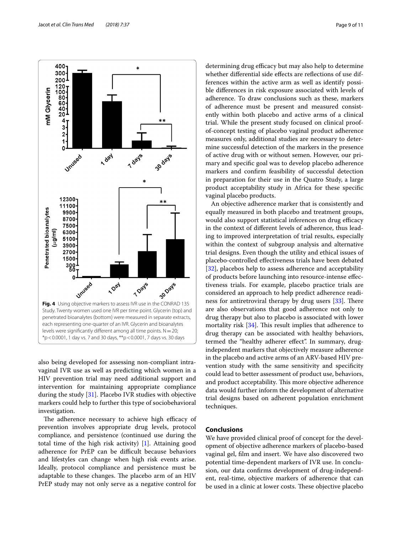

<span id="page-8-0"></span>also being developed for assessing non-compliant intravaginal IVR use as well as predicting which women in a HIV prevention trial may need additional support and intervention for maintaining appropriate compliance during the study [\[31](#page-10-13)]. Placebo IVR studies with objective markers could help to further this type of sociobehavioral investigation.

The adherence necessary to achieve high efficacy of prevention involves appropriate drug levels, protocol compliance, and persistence (continued use during the total time of the high risk activity) [\[1\]](#page-9-0). Attaining good adherence for PrEP can be difficult because behaviors and lifestyles can change when high risk events arise. Ideally, protocol compliance and persistence must be adaptable to these changes. The placebo arm of an HIV PrEP study may not only serve as a negative control for determining drug efficacy but may also help to determine whether differential side effects are reflections of use differences within the active arm as well as identify possible diferences in risk exposure associated with levels of adherence. To draw conclusions such as these, markers of adherence must be present and measured consistently within both placebo and active arms of a clinical trial. While the present study focused on clinical proofof-concept testing of placebo vaginal product adherence measures only, additional studies are necessary to determine successful detection of the markers in the presence of active drug with or without semen. However, our primary and specifc goal was to develop placebo adherence markers and confrm feasibility of successful detection in preparation for their use in the Quatro Study, a large product acceptability study in Africa for these specifc vaginal placebo products.

An objective adherence marker that is consistently and equally measured in both placebo and treatment groups, would also support statistical inferences on drug efficacy in the context of diferent levels of adherence, thus leading to improved interpretation of trial results, especially within the context of subgroup analysis and alternative trial designs. Even though the utility and ethical issues of placebo-controlled efectiveness trials have been debated [[32\]](#page-10-14), placebos help to assess adherence and acceptability of products before launching into resource-intense efectiveness trials. For example, placebo practice trials are considered an approach to help predict adherence readiness for antiretroviral therapy by drug users  $[33]$  $[33]$ . There are also observations that good adherence not only to drug therapy but also to placebo is associated with lower mortality risk  $[34]$  $[34]$ . This result implies that adherence to drug therapy can be associated with healthy behaviors, termed the "healthy adherer effect". In summary, drugindependent markers that objectively measure adherence in the placebo and active arms of an ARV-based HIV prevention study with the same sensitivity and specifcity could lead to better assessment of product use, behaviors, and product acceptability. This more objective adherence data would further inform the development of alternative trial designs based on adherent population enrichment techniques.

# **Conclusions**

We have provided clinical proof of concept for the development of objective adherence markers of placebo-based vaginal gel, flm and insert. We have also discovered two potential time-dependent markers of IVR use. In conclusion, our data confrms development of drug-independent, real-time, objective markers of adherence that can be used in a clinic at lower costs. These objective placebo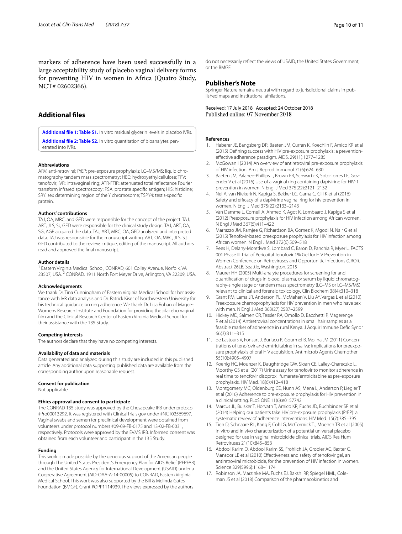markers of adherence have been used successfully in a large acceptability study of placebo vaginal delivery forms for preventing HIV in women in Africa (Quatro Study, NCT# 02602366).

# **Additional fles**

<span id="page-9-12"></span>**[Additional fle 1: Table S1.](https://doi.org/10.1186/s40169-018-0213-6)** In vitro residual glycerin levels in placebo IVRs.

**[Additional fle 2: Table S2.](https://doi.org/10.1186/s40169-018-0213-6)** In vitro quantitation of bioanalytes penetrated into IVRs.

#### **Abbreviations**

ARV: anti-retroviral; PrEP: pre-exposure prophylaxis; LC–MS/MS: liquid chromatography tandem mass spectrometry; HEC: hydroxyethylcellulose; TFV: tenofovir; IVR: intravaginal ring; ATR-FTIR: attenuated total refectance Fourier transform infrared spectroscopy; PSA: prostate specifc antigen; HIS: histidine; SRY: sex determining region of the Y chromosome; TSPY4: testis-specifc protein.

#### **Authors' contributions**

TAJ, OA, MRC, and GFD were responsible for the concept of the project. TAJ, ART, JLS, SJ, GFD were responsible for the clinical study design. TAJ, ART, OA, SG, AGP acquired the data. TAJ, ART, MRC, OA, GFD analyzed and interpreted data. TAJ was responsible for the manuscript writing. ART, OA, MRC, JLS, SJ, GFD contributed to the review, critique, editing of the manuscript. All authors read and approved the fnal manuscript.

#### **Author details**

<sup>1</sup> Eastern Virginia Medical School, CONRAD, 601 Colley Avenue, Norfolk, VA 23507, USA. 2 CONRAD, 1911 North Fort Meyer Drive, Arlington, VA 22209, USA.

#### **Acknowledgements**

We thank Dr. Tina Cunningham of Eastern Virginia Medical School for her assistance with IVR data analysis and Dr. Patrick Kiser of Northwestern University for his technical guidance on ring adherence. We thank Dr. Lisa Rohan of Magee-Womens Research Institute and Foundation for providing the placebo vaginal flm and the Clinical Research Center of Eastern Virginia Medical School for their assistance with the 135 Study.

#### **Competing interests**

The authors declare that they have no competing interests.

#### **Availability of data and materials**

Data generated and analyzed during this study are included in this published article. Any additional data supporting published data are available from the corresponding author upon reasonable request.

#### **Consent for publication**

Not applicable.

#### **Ethics approval and consent to participate**

The CONRAD 135 study was approved by the Chesapeake IRB under protocol #Pro00013292. It was registered with ClinicalTrials.gov under #NCT02569697. Vaginal swabs and semen for preclinical development were obtained from volunteers under protocol numbers #09-09-FB-0175 and 13-02-FB-0031, respectively. Protocols were approved by the EVMS IRB. Informed consent was obtained from each volunteer and participant in the 135 Study.

# **Funding**

This work is made possible by the generous support of the American people through The United States President's Emergency Plan for AIDS Relief (PEPFAR) and the United States Agency for International Development (USAID) under a Cooperative Agreement (AID-OAA-A-14-00005) to CONRAD, Eastern Virginia Medical School. This work was also supported by the Bill & Melinda Gates Foundation (BMGF), Grant #OPP1114939. The views expressed by the authors

do not necessarily refect the views of USAID, the United States Government, or the BMGF.

#### **Publisher's Note**

Springer Nature remains neutral with regard to jurisdictional claims in published maps and institutional affiliations.

Received: 17 July 2018 Accepted: 24 October 2018

#### <span id="page-9-13"></span>**References**

- <span id="page-9-0"></span>1. Haberer JE, Bangsberg DR, Baeten JM, Curran K, Koechlin F, Amico KR et al (2015) Defning success with HIV pre-exposure prophylaxis: a preventionefective adherence paradigm. AIDS. 29(11):1277–1285
- <span id="page-9-1"></span>2. McGowan I (2014) An overview of antiretroviral pre-exposure prophylaxis of HIV infection. Am J Reprod Immunol 71(6):624–630
- 3. Baeten JM, Palanee-Phillips T, Brown ER, Schwartz K, Soto-Torres LE, Govender V et al (2016) Use of a vaginal ring containing dapivirine for HIV-1 prevention in women. N Engl J Med 375(22):2121–2132
- 4. Nel A, van Niekerk N, Kapiga S, Bekker LG, Gama C, Gill K et al (2016) Safety and efficacy of a dapivirine vaginal ring for hiv prevention in women. N Engl J Med 375(22):2133–2143
- 5. Van Damme L, Corneli A, Ahmed K, Agot K, Lombaard J, Kapiga S et al (2012) Preexposure prophylaxis for HIV infection among African women. N Engl J Med 367(5):411–422
- <span id="page-9-8"></span>6. Marrazzo JM, Ramjee G, Richardson BA, Gomez K, Mgodi N, Nair G et al (2015) Tenofovir-based preexposure prophylaxis for HIV infection among African women. N Engl J Med 372(6):509–518
- <span id="page-9-2"></span>7. Rees H, Delany-Moretlwe S, Lombard C, Baron D, Panchia R, Myer L. FACTS 001 Phase III Trial of Pericoital Tenofovir 1% Gel for HIV Prevention in Women Conference on Retroviruses and Opportunitic Infections (CROI). Abstract 26LB, Seattle, Washington. 2015
- <span id="page-9-3"></span>8. Maurer HH (2005) Multi-analyte procedures for screening for and quantifcation of drugs in blood, plasma, or serum by liquid chromatography-single stage or tandem mass spectrometry (LC–MS or LC–MS/MS) relevant to clinical and forensic toxicology. Clin Biochem 38(4):310–318
- <span id="page-9-4"></span>9. Grant RM, Lama JR, Anderson PL, McMahan V, Liu AY, Vargas L et al (2010) Preexposure chemoprophylaxis for HIV prevention in men who have sex with men. N Engl J Med 363(27):2587–2599
- <span id="page-9-5"></span>10. Hickey MD, Salmen CR, Tessler RA, Omollo D, Bacchetti P, Magerenge R et al (2014) Antiretroviral concentrations in small hair samples as a feasible marker of adherence in rural Kenya. J Acquir Immune Defc Syndr 66(3):311–315
- 11. de Lastours V, Fonsart J, Burlacu R, Gourmel B, Molina JM (2011) Concentrations of tenofovir and emtricitabine in saliva: implications for preexposure prophylaxis of oral HIV acquisition. Antimicrob Agents Chemother 55(10):4905–4907
- 12. Koenig HC, Mounzer K, Daughtridge GW, Sloan CE, Lalley-Chareczko L, Moorthy GS et al (2017) Urine assay for tenofovir to monitor adherence in real time to tenofovir disoproxil fumarate/emtricitabine as pre-exposure prophylaxis. HIV Med. 18(6):412–418
- <span id="page-9-6"></span>13. Montgomery MC, Oldenburg CE, Nunn AS, Mena L, Anderson P, Liegler T et al (2016) Adherence to pre-exposure prophylaxis for HIV prevention in a clinical setting. PLoS ONE 11(6):e0157742
- <span id="page-9-7"></span>14. Marcus JL, Buisker T, Horvath T, Amico KR, Fuchs JD, Buchbinder SP et al (2014) Helping our patients take HIV pre-exposure prophylaxis (PrEP): a systematic review of adherence interventions. HIV Med. 15(7):385–395
- <span id="page-9-9"></span>15. Tien D, Schnaare RL, Kang F, Cohl G, McCormick TJ, Moench TR et al (2005) In vitro and in vivo characterization of a potential universal placebo designed for use in vaginal microbicide clinical trials. AIDS Res Hum Retroviruses 21(10):845–853
- <span id="page-9-10"></span>16. Abdool Karim Q, Abdool Karim SS, Frohlich JA, Grobler AC, Baxter C, Mansoor LE et al (2010) Efectiveness and safety of tenofovir gel, an antiretroviral microbicide, for the prevention of HIV infection in women. Science 329(5996):1168–1174
- <span id="page-9-11"></span>17. Robinson JA, Marzinke MA, Fuchs EJ, Bakshi RP, Spiegel HML, Coleman JS et al (2018) Comparison of the pharmacokinetics and